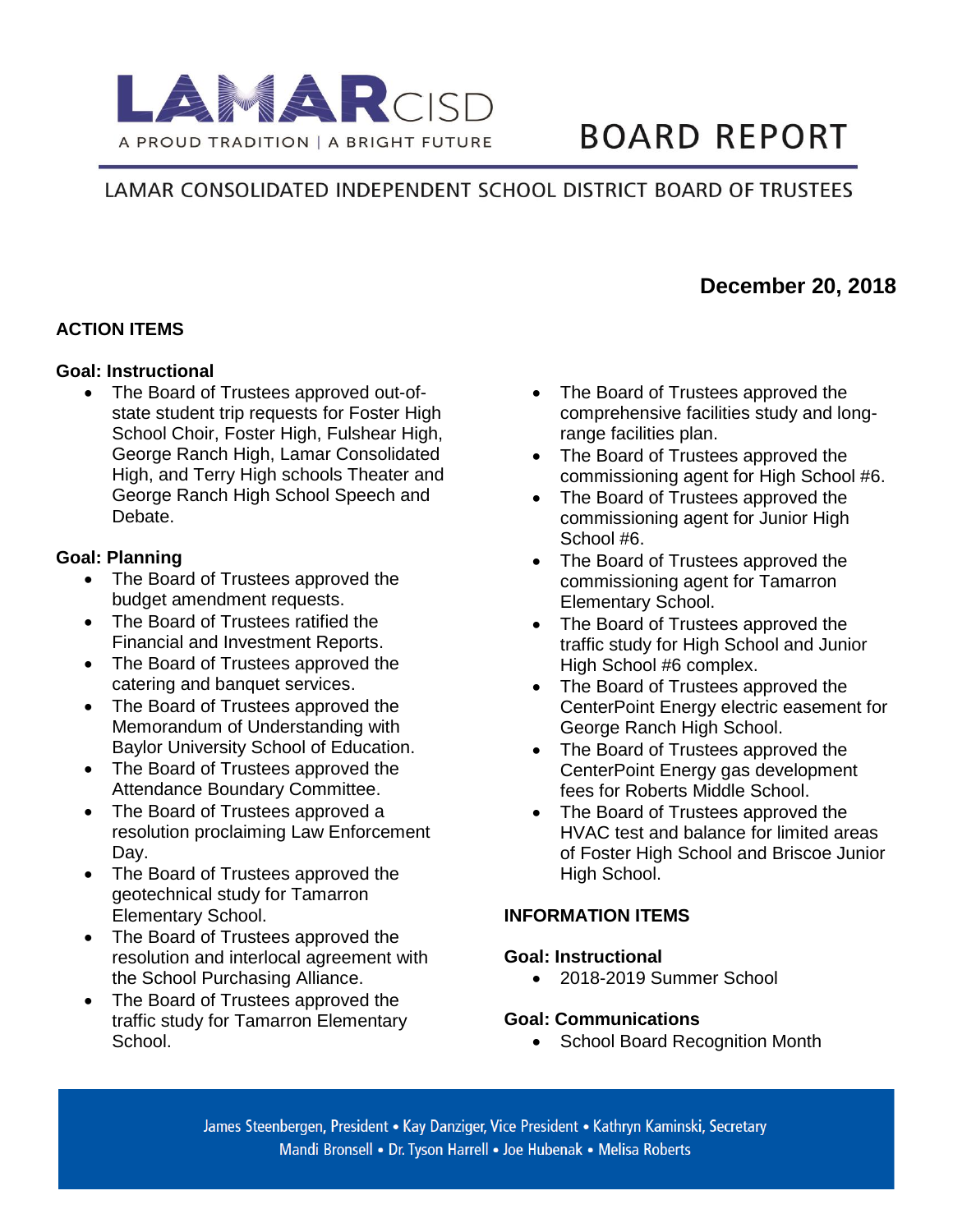

# **BOARD REPORT**

# LAMAR CONSOLIDATED INDEPENDENT SCHOOL DISTRICT BOARD OF TRUSTEES

## **ACTION ITEMS**

#### **Goal: Instructional**

• The Board of Trustees approved out-ofstate student trip requests for Foster High School Choir, Foster High, Fulshear High, George Ranch High, Lamar Consolidated High, and Terry High schools Theater and George Ranch High School Speech and Debate.

### **Goal: Planning**

- The Board of Trustees approved the budget amendment requests.
- The Board of Trustees ratified the Financial and Investment Reports.
- The Board of Trustees approved the catering and banquet services.
- The Board of Trustees approved the Memorandum of Understanding with Baylor University School of Education.
- The Board of Trustees approved the Attendance Boundary Committee.
- The Board of Trustees approved a resolution proclaiming Law Enforcement Day.
- The Board of Trustees approved the geotechnical study for Tamarron Elementary School.
- The Board of Trustees approved the resolution and interlocal agreement with the School Purchasing Alliance.
- The Board of Trustees approved the traffic study for Tamarron Elementary School.
- The Board of Trustees approved the comprehensive facilities study and longrange facilities plan.
- The Board of Trustees approved the commissioning agent for High School #6.
- The Board of Trustees approved the commissioning agent for Junior High School #6.
- The Board of Trustees approved the commissioning agent for Tamarron Elementary School.
- The Board of Trustees approved the traffic study for High School and Junior High School #6 complex.
- The Board of Trustees approved the CenterPoint Energy electric easement for George Ranch High School.
- The Board of Trustees approved the CenterPoint Energy gas development fees for Roberts Middle School.
- The Board of Trustees approved the HVAC test and balance for limited areas of Foster High School and Briscoe Junior High School.

#### **INFORMATION ITEMS**

#### **Goal: Instructional**

• 2018-2019 Summer School

#### **Goal: Communications**

• School Board Recognition Month

James Steenbergen, President • Kay Danziger, Vice President • Kathryn Kaminski, Secretary Mandi Bronsell • Dr. Tyson Harrell • Joe Hubenak • Melisa Roberts

# **December 20, 2018**